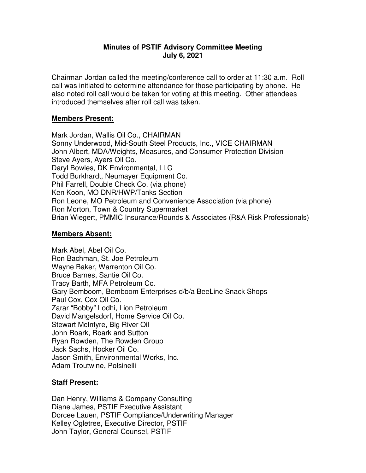#### **Minutes of PSTIF Advisory Committee Meeting July 6, 2021**

Chairman Jordan called the meeting/conference call to order at 11:30 a.m. Roll call was initiated to determine attendance for those participating by phone. He also noted roll call would be taken for voting at this meeting. Other attendees introduced themselves after roll call was taken.

#### **Members Present:**

Mark Jordan, Wallis Oil Co., CHAIRMAN Sonny Underwood, Mid-South Steel Products, Inc., VICE CHAIRMAN John Albert, MDA/Weights, Measures, and Consumer Protection Division Steve Ayers, Ayers Oil Co. Daryl Bowles, DK Environmental, LLC Todd Burkhardt, Neumayer Equipment Co. Phil Farrell, Double Check Co. (via phone) Ken Koon, MO DNR/HWP/Tanks Section Ron Leone, MO Petroleum and Convenience Association (via phone) Ron Morton, Town & Country Supermarket Brian Wiegert, PMMIC Insurance/Rounds & Associates (R&A Risk Professionals)

## **Members Absent:**

Mark Abel, Abel Oil Co. Ron Bachman, St. Joe Petroleum Wayne Baker, Warrenton Oil Co. Bruce Barnes, Santie Oil Co. Tracy Barth, MFA Petroleum Co. Gary Bemboom, Bemboom Enterprises d/b/a BeeLine Snack Shops Paul Cox, Cox Oil Co. Zarar "Bobby" Lodhi, Lion Petroleum David Mangelsdorf, Home Service Oil Co. Stewart McIntyre, Big River Oil John Roark, Roark and Sutton Ryan Rowden, The Rowden Group Jack Sachs, Hocker Oil Co. Jason Smith, Environmental Works, Inc. Adam Troutwine, Polsinelli

## **Staff Present:**

Dan Henry, Williams & Company Consulting Diane James, PSTIF Executive Assistant Dorcee Lauen, PSTIF Compliance/Underwriting Manager Kelley Ogletree, Executive Director, PSTIF John Taylor, General Counsel, PSTIF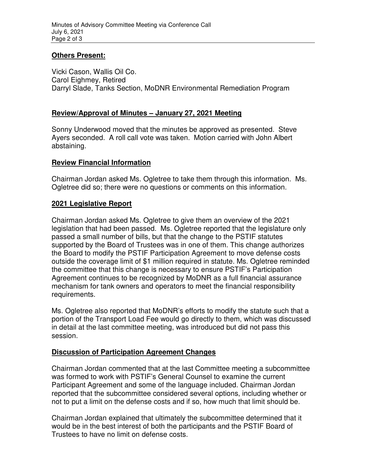## **Others Present:**

Vicki Cason, Wallis Oil Co. Carol Eighmey, Retired Darryl Slade, Tanks Section, MoDNR Environmental Remediation Program

## **Review/Approval of Minutes – January 27, 2021 Meeting**

Sonny Underwood moved that the minutes be approved as presented. Steve Ayers seconded. A roll call vote was taken. Motion carried with John Albert abstaining.

# **Review Financial Information**

Chairman Jordan asked Ms. Ogletree to take them through this information. Ms. Ogletree did so; there were no questions or comments on this information.

## **2021 Legislative Report**

Chairman Jordan asked Ms. Ogletree to give them an overview of the 2021 legislation that had been passed. Ms. Ogletree reported that the legislature only passed a small number of bills, but that the change to the PSTIF statutes supported by the Board of Trustees was in one of them. This change authorizes the Board to modify the PSTIF Participation Agreement to move defense costs outside the coverage limit of \$1 million required in statute. Ms. Ogletree reminded the committee that this change is necessary to ensure PSTIF's Participation Agreement continues to be recognized by MoDNR as a full financial assurance mechanism for tank owners and operators to meet the financial responsibility requirements.

Ms. Ogletree also reported that MoDNR's efforts to modify the statute such that a portion of the Transport Load Fee would go directly to them, which was discussed in detail at the last committee meeting, was introduced but did not pass this session.

## **Discussion of Participation Agreement Changes**

Chairman Jordan commented that at the last Committee meeting a subcommittee was formed to work with PSTIF's General Counsel to examine the current Participant Agreement and some of the language included. Chairman Jordan reported that the subcommittee considered several options, including whether or not to put a limit on the defense costs and if so, how much that limit should be.

Chairman Jordan explained that ultimately the subcommittee determined that it would be in the best interest of both the participants and the PSTIF Board of Trustees to have no limit on defense costs.